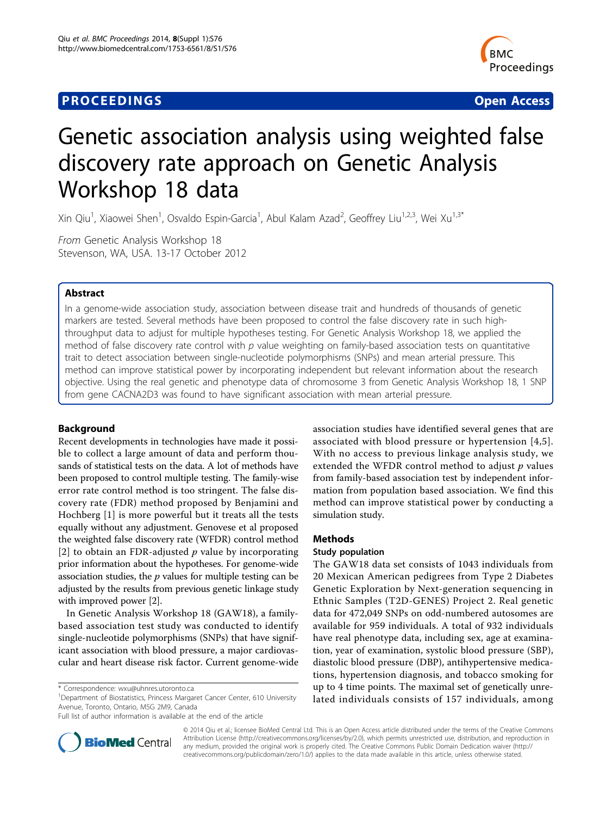## **PROCEEDINGS STATE SERVICE SERVICE SERVICE SERVICE SERVICE SERVICE SERVICE SERVICE SERVICE SERVICE SERVICE SERVICE SERVICE SERVICE SERVICE SERVICE SERVICE SERVICE SERVICE SERVICE SERVICE SERVICE SERVICE SERVICE SERVICE S**



# Genetic association analysis using weighted false discovery rate approach on Genetic Analysis Workshop 18 data

Xin Qiu<sup>1</sup>, Xiaowei Shen<sup>1</sup>, Osvaldo Espin-Garcia<sup>1</sup>, Abul Kalam Azad<sup>2</sup>, Geoffrey Liu<sup>1,2,3</sup>, Wei Xu<sup>1,3\*</sup>

From Genetic Analysis Workshop 18 Stevenson, WA, USA. 13-17 October 2012

## Abstract

In a genome-wide association study, association between disease trait and hundreds of thousands of genetic markers are tested. Several methods have been proposed to control the false discovery rate in such highthroughput data to adjust for multiple hypotheses testing. For Genetic Analysis Workshop 18, we applied the method of false discovery rate control with  $p$  value weighting on family-based association tests on quantitative trait to detect association between single-nucleotide polymorphisms (SNPs) and mean arterial pressure. This method can improve statistical power by incorporating independent but relevant information about the research objective. Using the real genetic and phenotype data of chromosome 3 from Genetic Analysis Workshop 18, 1 SNP from gene CACNA2D3 was found to have significant association with mean arterial pressure.

## Background

Recent developments in technologies have made it possible to collect a large amount of data and perform thousands of statistical tests on the data. A lot of methods have been proposed to control multiple testing. The family-wise error rate control method is too stringent. The false discovery rate (FDR) method proposed by Benjamini and Hochberg [\[1](#page-4-0)] is more powerful but it treats all the tests equally without any adjustment. Genovese et al proposed the weighted false discovery rate (WFDR) control method [[2](#page-4-0)] to obtain an FDR-adjusted  $p$  value by incorporating prior information about the hypotheses. For genome-wide association studies, the  $p$  values for multiple testing can be adjusted by the results from previous genetic linkage study with improved power [[2\]](#page-4-0).

In Genetic Analysis Workshop 18 (GAW18), a familybased association test study was conducted to identify single-nucleotide polymorphisms (SNPs) that have significant association with blood pressure, a major cardiovascular and heart disease risk factor. Current genome-wide

<sup>1</sup>Department of Biostatistics, Princess Margaret Cancer Center, 610 University Avenue, Toronto, Ontario, M5G 2M9, Canada



## Methods

## Study population

The GAW18 data set consists of 1043 individuals from 20 Mexican American pedigrees from Type 2 Diabetes Genetic Exploration by Next-generation sequencing in Ethnic Samples (T2D-GENES) Project 2. Real genetic data for 472,049 SNPs on odd-numbered autosomes are available for 959 individuals. A total of 932 individuals have real phenotype data, including sex, age at examination, year of examination, systolic blood pressure (SBP), diastolic blood pressure (DBP), antihypertensive medications, hypertension diagnosis, and tobacco smoking for up to 4 time points. The maximal set of genetically unrelated individuals consists of 157 individuals, among



© 2014 Qiu et al.; licensee BioMed Central Ltd. This is an Open Access article distributed under the terms of the Creative Commons Attribution License [\(http://creativecommons.org/licenses/by/2.0](http://creativecommons.org/licenses/by/2.0)), which permits unrestricted use, distribution, and reproduction in any medium, provided the original work is properly cited. The Creative Commons Public Domain Dedication waiver [\(http://](http://creativecommons.org/publicdomain/zero/1.0/) [creativecommons.org/publicdomain/zero/1.0/](http://creativecommons.org/publicdomain/zero/1.0/)) applies to the data made available in this article, unless otherwise stated.

<sup>\*</sup> Correspondence: [wxu@uhnres.utoronto.ca](mailto:wxu@uhnres.utoronto.ca)

Full list of author information is available at the end of the article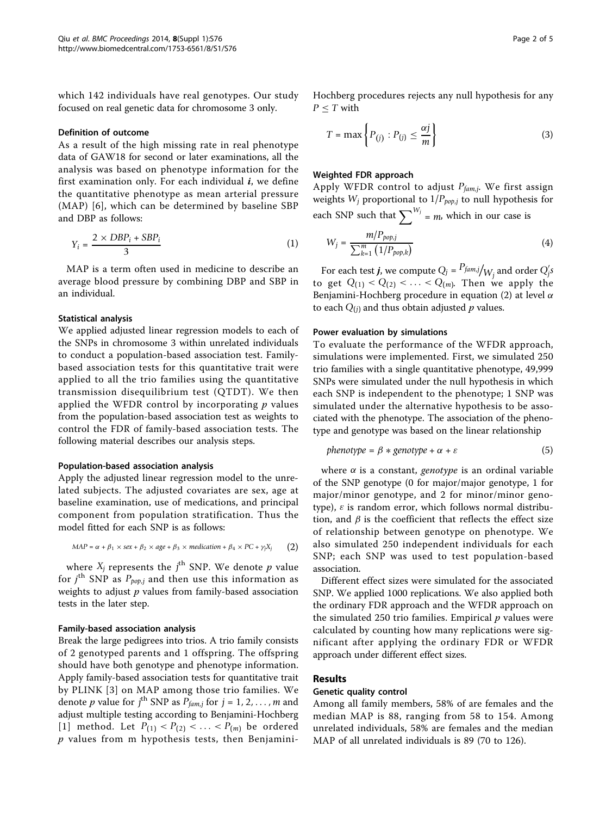which 142 individuals have real genotypes. Our study focused on real genetic data for chromosome 3 only.

#### Definition of outcome

As a result of the high missing rate in real phenotype data of GAW18 for second or later examinations, all the analysis was based on phenotype information for the first examination only. For each individual  $i$ , we define the quantitative phenotype as mean arterial pressure (MAP) [[6](#page-4-0)], which can be determined by baseline SBP and DBP as follows:

$$
Y_i = \frac{2 \times DBP_i + SBP_i}{3} \tag{1}
$$

MAP is a term often used in medicine to describe an average blood pressure by combining DBP and SBP in an individual.

## Statistical analysis

We applied adjusted linear regression models to each of the SNPs in chromosome 3 within unrelated individuals to conduct a population-based association test. Familybased association tests for this quantitative trait were applied to all the trio families using the quantitative transmission disequilibrium test (QTDT). We then applied the WFDR control by incorporating  $p$  values from the population-based association test as weights to control the FDR of family-based association tests. The following material describes our analysis steps.

### Population-based association analysis

Apply the adjusted linear regression model to the unrelated subjects. The adjusted covariates are sex, age at baseline examination, use of medications, and principal component from population stratification. Thus the model fitted for each SNP is as follows:

$$
MAP = \alpha + \beta_1 \times sex + \beta_2 \times age + \beta_3 \times medication + \beta_4 \times PC + \gamma_1 X_j
$$
 (2)

where  $X_j$  represents the  $j^{\text{th}}$  SNP. We denote p value<br>r  $j^{\text{th}}$  SNP as  $P_{\text{test}}$  and then use this information as for  $j^{\text{th}}$  SNP as  $P_{pop,j}$  and then use this information as weights to adjust n values from family-based association weights to adjust  $p$  values from family-based association tests in the later step.

### Family-based association analysis

Break the large pedigrees into trios. A trio family consists of 2 genotyped parents and 1 offspring. The offspring should have both genotype and phenotype information. Apply family-based association tests for quantitative trait by PLINK [[3\]](#page-4-0) on MAP among those trio families. We denote *p* value for *j*<sup>th</sup> SNP as  $P_{fam,j}$  for  $j = 1, 2, ..., m$  and adjust multiple testing according to Benjamini-Hochberg adjust multiple testing according to Benjamini-Hochberg [[1\]](#page-4-0) method. Let  $P_{(1)} < P_{(2)} < ... < P_{(m)}$  be ordered  $p$  values from m hypothesis tests, then BenjaminiHochberg procedures rejects any null hypothesis for any  $P \leq T$  with

$$
T = \max\left\{P_{(j)} : P_{(j)} \le \frac{\alpha j}{m}\right\} \tag{3}
$$

## Weighted FDR approach

Apply WFDR control to adjust *Pfam*,*j*. We first assign weights  $W_j$  proportional to  $1/P_{pop,j}$  to null hypothesis for each SNP such that  $\sum_{j=1}^{W_j}$  = *m*, which in our case is

$$
W_j = \frac{m/P_{pop,j}}{\sum_{k=1}^{m} (1/P_{pop,k})}
$$
(4)

For each test *j*, we compute  $Q_j = \frac{P_{fam,j}}{W_j}$  and order  $Q'_j s$ to get  $Q_{(1)} < Q_{(2)} < ... < Q_{(m)}$ . Then we apply the Benjamini-Hochberg procedure in equation (2) at level  $\alpha$ to each  $Q_{(i)}$  and thus obtain adjusted p values.

## Power evaluation by simulations

To evaluate the performance of the WFDR approach, simulations were implemented. First, we simulated 250 trio families with a single quantitative phenotype, 49,999 SNPs were simulated under the null hypothesis in which each SNP is independent to the phenotype; 1 SNP was simulated under the alternative hypothesis to be associated with the phenotype. The association of the phenotype and genotype was based on the linear relationship

$$
phenotype = \beta * genotype + \alpha + \varepsilon \tag{5}
$$

where  $\alpha$  is a constant, *genotype* is an ordinal variable of the SNP genotype (0 for major/major genotype, 1 for major/minor genotype, and 2 for minor/minor genotype),  $\varepsilon$  is random error, which follows normal distribution, and  $\beta$  is the coefficient that reflects the effect size of relationship between genotype on phenotype. We also simulated 250 independent individuals for each SNP; each SNP was used to test population-based association.

Different effect sizes were simulated for the associated SNP. We applied 1000 replications. We also applied both the ordinary FDR approach and the WFDR approach on the simulated 250 trio families. Empirical  $p$  values were calculated by counting how many replications were significant after applying the ordinary FDR or WFDR approach under different effect sizes.

#### Results

## Genetic quality control

Among all family members, 58% of are females and the median MAP is 88, ranging from 58 to 154. Among unrelated individuals, 58% are females and the median MAP of all unrelated individuals is 89 (70 to 126).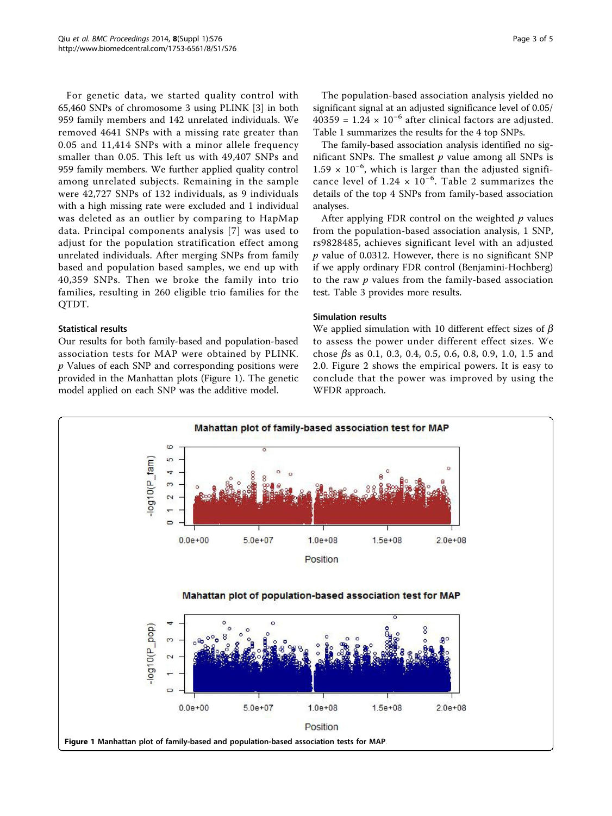For genetic data, we started quality control with 65,460 SNPs of chromosome 3 using PLINK [[3\]](#page-4-0) in both 959 family members and 142 unrelated individuals. We removed 4641 SNPs with a missing rate greater than 0.05 and 11,414 SNPs with a minor allele frequency smaller than 0.05. This left us with 49,407 SNPs and 959 family members. We further applied quality control among unrelated subjects. Remaining in the sample were 42,727 SNPs of 132 individuals, as 9 individuals with a high missing rate were excluded and 1 individual was deleted as an outlier by comparing to HapMap data. Principal components analysis [[7\]](#page-4-0) was used to adjust for the population stratification effect among unrelated individuals. After merging SNPs from family based and population based samples, we end up with 40,359 SNPs. Then we broke the family into trio families, resulting in 260 eligible trio families for the QTDT.

## Statistical results

Our results for both family-based and population-based association tests for MAP were obtained by PLINK. p Values of each SNP and corresponding positions were provided in the Manhattan plots (Figure 1). The genetic model applied on each SNP was the additive model.

The population-based association analysis yielded no significant signal at an adjusted significance level of 0.05/  $40359 = 1.24 \times 10^{-6}$  after clinical factors are adjusted. Table [1](#page-3-0) summarizes the results for the 4 top SNPs.

The family-based association analysis identified no significant SNPs. The smallest  $p$  value among all SNPs is 1.59 × 10−<sup>6</sup> , which is larger than the adjusted significance level of  $1.24 \times 10^{-6}$ . Table [2](#page-3-0) summarizes the details of the top 4 SNPs from family-based association analyses.

After applying FDR control on the weighted  $p$  values from the population-based association analysis, 1 SNP, rs9828485, achieves significant level with an adjusted  $p$  value of 0.0312. However, there is no significant SNP if we apply ordinary FDR control (Benjamini-Hochberg) to the raw  $p$  values from the family-based association test. Table [3](#page-3-0) provides more results.

## Simulation results

We applied simulation with 10 different effect sizes of  $\beta$ to assess the power under different effect sizes. We chose  $\beta$ s as 0.1, 0.3, 0.4, 0.5, 0.6, 0.8, 0.9, 1.0, 1.5 and 2.0. Figure [2](#page-3-0) shows the empirical powers. It is easy to conclude that the power was improved by using the WFDR approach.

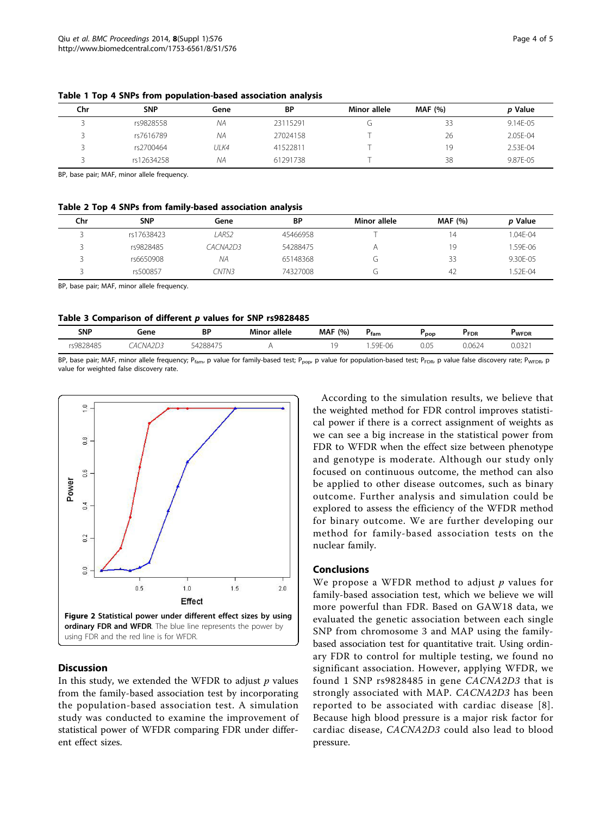| Chr | <b>SNP</b> | Gene | BP       | Minor allele | <b>MAF</b> (%) | p Value  |
|-----|------------|------|----------|--------------|----------------|----------|
|     | rs9828558  | NΑ   | 23115291 |              | 33             | 9.14E-05 |
|     | rs7616789  | NΑ   | 27024158 |              | 26             | 2.05E-04 |
|     | rs2700464  | ULK4 | 41522811 |              | 19             | 2.53E-04 |
|     | rs12634258 | NΑ   | 61291738 |              | 38             | 9.87E-05 |

<span id="page-3-0"></span>Table 1 Top 4 SNPs from population-based association analysis

BP, base pair; MAF, minor allele frequency.

## Table 2 Top 4 SNPs from family-based association analysis

| Chr | <b>SNP</b> | Gene     | <b>BP</b> | Minor allele | <b>MAF</b> (%) | <i>p</i> Value |
|-----|------------|----------|-----------|--------------|----------------|----------------|
|     | rs17638423 | LARS2    | 45466958  |              | 14             | 1.04E-04       |
|     | rs9828485  | CACNA2D3 | 54288475  |              | 19             | 1.59E-06       |
|     | rs6650908  | ΝA       | 65148368  | J٦           | 33             | 9.30E-05       |
|     | rs500857   | CNTN3    | 74327008  | c.           | 42             | 1.52F-04       |

BP, base pair; MAF, minor allele frequency.

## Table 3 Comparison of different p values for SNP rs9828485

| <b>SNP</b>      | Gene<br>.                  | BP     | <b>Minor allele</b> | <b>MAF</b><br>(%) | fam                                                        | pop  | <b>FDR</b>       | <b>WFDR</b>                     |
|-----------------|----------------------------|--------|---------------------|-------------------|------------------------------------------------------------|------|------------------|---------------------------------|
| 9828485<br>- uv | 202<br>NД<br>Д١<br>ر سا کا | 428847 |                     |                   | $F \wedge F$<br>.<br>- VV<br>◡<br>$\overline{\phantom{0}}$ | 0.05 | 0.062.<br>J.UOZ4 | .022<br>$\overline{ }$<br>J.UJZ |

BP, base pair; MAF, minor allele frequency; P<sub>fam</sub>, p value for family-based test; P<sub>pop</sub>, p value for population-based test; P<sub>FDR</sub>, p value false discovery rate; P<sub>WFDR</sub>, p value for weighted false discovery rate.



#### **Discussion**

In this study, we extended the WFDR to adjust  $p$  values from the family-based association test by incorporating the population-based association test. A simulation study was conducted to examine the improvement of statistical power of WFDR comparing FDR under different effect sizes.

According to the simulation results, we believe that the weighted method for FDR control improves statistical power if there is a correct assignment of weights as we can see a big increase in the statistical power from FDR to WFDR when the effect size between phenotype and genotype is moderate. Although our study only focused on continuous outcome, the method can also be applied to other disease outcomes, such as binary outcome. Further analysis and simulation could be explored to assess the efficiency of the WFDR method for binary outcome. We are further developing our method for family-based association tests on the nuclear family.

## Conclusions

We propose a WFDR method to adjust  $p$  values for family-based association test, which we believe we will more powerful than FDR. Based on GAW18 data, we evaluated the genetic association between each single SNP from chromosome 3 and MAP using the familybased association test for quantitative trait. Using ordinary FDR to control for multiple testing, we found no significant association. However, applying WFDR, we found 1 SNP rs9828485 in gene CACNA2D3 that is strongly associated with MAP. CACNA2D3 has been reported to be associated with cardiac disease [[8\]](#page-4-0). Because high blood pressure is a major risk factor for cardiac disease, CACNA2D3 could also lead to blood pressure.